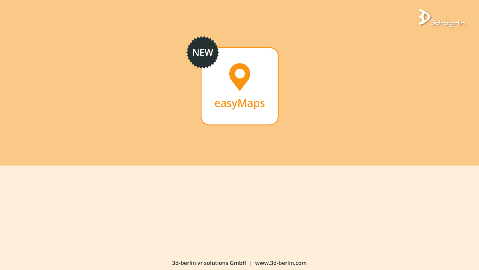



**3d-berlin vr solutions GmbH | www.3d-berlin.com**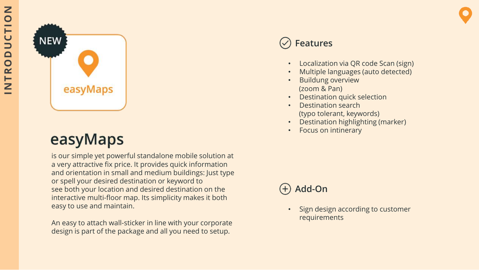

# easyMaps

is our simple yet powerful standalone mobile solution at a very attractive fix price. It provides quick information and orientation in small and medium buildings: Just type or spell your desired destination or keyword to see both your location and desired destination on the interactive multi -floor map. Its simplicity makes it both easy to use and maintain .

An easy to attach wall -sticker in line with your corporate design is part of the package and all you need to setup.

# **Features**

- Localization via QR code Scan (sign)
- Multiple languages (auto detected )
- Buildung overview (zoom & Pan)
- Destination quick selection
- Destination search (typo tolerant, keywords)
- Destination highlighting (marker )
- Focus on intinerary

## **Add -On**

• Sign design according to customer requirements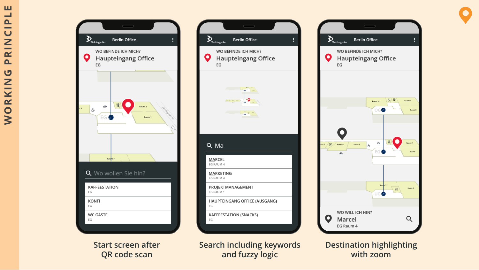

**Start screen after QR code scan**

 $\sum_{\text{3d-bgfin}}$ **Berlin Office** WO BEFINDE ICH MICH? O **Haupteingang Office** EG  $\int \tan \left( \frac{2\pi}{\lambda} \right)^{2} \tan \left( \frac{\pi}{\lambda} \right) \sin \left( \frac{\pi}{\lambda} \right)$ : |≖Q Q Ma **MARCEL** EG RAUM 4 **MARKETING** EG RAUM 4 PROJEKTMANAGEMENT EG RAUM 1 HAUPTEINGANG OFFICE (AUSGANG) EG **KAFFEESTATION (SNACKS)** EG

**Search including keywords and fuzzy logic**



**Destination highlighting with zoom**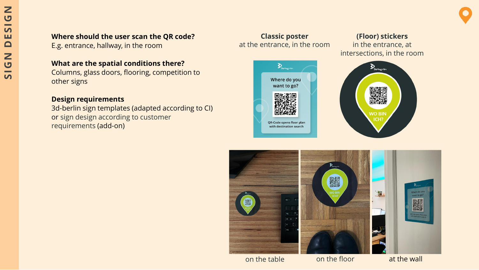### **Where should the user scan the QR code?**

E.g. entrance, hallway, in the room

#### **What are the spatial conditions there?**

Columns, glass doors, flooring, competition to other signs

#### **Design requirements**

3d-berlin sign templates (adapted according to CI) or sign design according to customer requirements (add-on)

### **Classic poster** at the entrance, in the room

## $\sum_{\text{3d-bgclin}}$ Where do you want to go? OR-Code opens floor plan with destination search







on the table on the floor at the wall